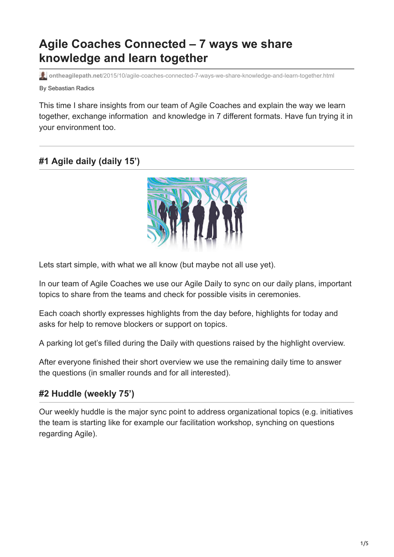# **Agile Coaches Connected – 7 ways we share knowledge and learn together**

**ontheagilepath.net**[/2015/10/agile-coaches-connected-7-ways-we-share-knowledge-and-learn-together.html](https://www.ontheagilepath.net/2015/10/agile-coaches-connected-7-ways-we-share-knowledge-and-learn-together.html)

By Sebastian Radics

This time I share insights from our team of Agile Coaches and explain the way we learn together, exchange information and knowledge in 7 different formats. Have fun trying it in your environment too.

## **#1 Agile daily (daily 15')**



Lets start simple, with what we all know (but maybe not all use yet).

In our team of Agile Coaches we use our Agile Daily to sync on our daily plans, important topics to share from the teams and check for possible visits in ceremonies.

Each coach shortly expresses highlights from the day before, highlights for today and asks for help to remove blockers or support on topics.

A parking lot get's filled during the Daily with questions raised by the highlight overview.

After everyone finished their short overview we use the remaining daily time to answer the questions (in smaller rounds and for all interested).

## **#2 Huddle (weekly 75')**

Our weekly huddle is the major sync point to address organizational topics (e.g. initiatives the team is starting like for example our facilitation workshop, synching on questions regarding Agile).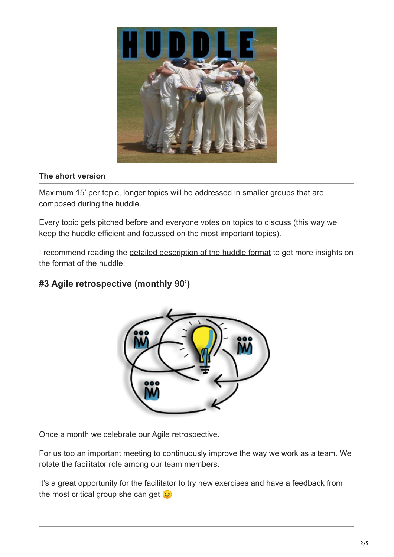

#### **The short version**

Maximum 15' per topic, longer topics will be addressed in smaller groups that are composed during the huddle.

Every topic gets pitched before and everyone votes on topics to discuss (this way we keep the huddle efficient and focussed on the most important topics).

I recommend reading the [detailed description of the huddle format](http://www.ontheagilepath.net/?p=43) to get more insights on the format of the huddle.

## **#3 Agile retrospective (monthly 90')**



Once a month we celebrate our Agile retrospective.

For us too an important meeting to continuously improve the way we work as a team. We rotate the facilitator role among our team members.

It's a great opportunity for the facilitator to try new exercises and have a feedback from the most critical group she can get  $\mathfrak{S}$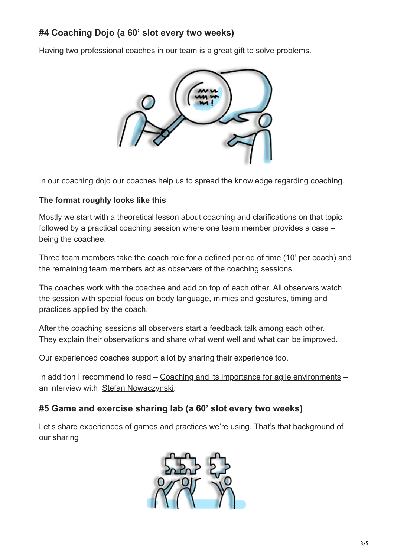Having two professional coaches in our team is a great gift to solve problems.



In our coaching dojo our coaches help us to spread the knowledge regarding coaching.

### **The format roughly looks like this**

Mostly we start with a theoretical lesson about coaching and clarifications on that topic, followed by a practical coaching session where one team member provides a case – being the coachee.

Three team members take the coach role for a defined period of time (10' per coach) and the remaining team members act as observers of the coaching sessions.

The coaches work with the coachee and add on top of each other. All observers watch the session with special focus on body language, mimics and gestures, timing and practices applied by the coach.

After the coaching sessions all observers start a feedback talk among each other. They explain their observations and share what went well and what can be improved.

Our experienced coaches support a lot by sharing their experience too.

In addition I recommend to read – [Coaching and its importance for agile environments](http://www.ontheagilepath.net/?p=53) – an interview with [Stefan Nowaczynski.](http://www.stefan-nowaczynski.de/)

## **#5 Game and exercise sharing lab (a 60' slot every two weeks)**

Let's share experiences of games and practices we're using. That's that background of our sharing

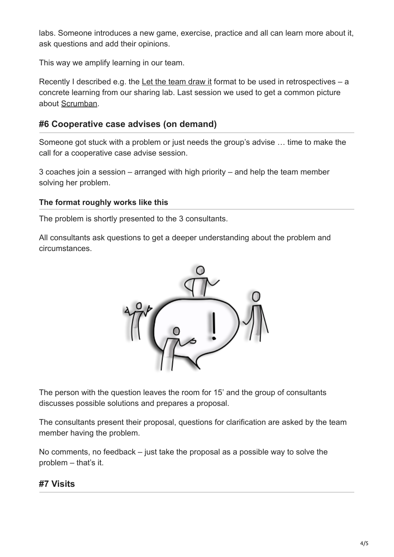labs. Someone introduces a new game, exercise, practice and all can learn more about it, ask questions and add their opinions.

This way we amplify learning in our team.

Recently I described e.g. the [Let the team draw it](http://www.ontheagilepath.net/?p=22) format to be used in retrospectives  $- a$ concrete learning from our sharing lab. Last session we used to get a common picture about [Scrumban](http://www.ontheagilepath.net/?p=36).

### **#6 Cooperative case advises (on demand)**

Someone got stuck with a problem or just needs the group's advise … time to make the call for a cooperative case advise session.

3 coaches join a session – arranged with high priority – and help the team member solving her problem.

#### **The format roughly works like this**

The problem is shortly presented to the 3 consultants.

All consultants ask questions to get a deeper understanding about the problem and circumstances.



The person with the question leaves the room for 15' and the group of consultants discusses possible solutions and prepares a proposal.

The consultants present their proposal, questions for clarification are asked by the team member having the problem.

No comments, no feedback – just take the proposal as a possible way to solve the problem – that's it.

## **#7 Visits**